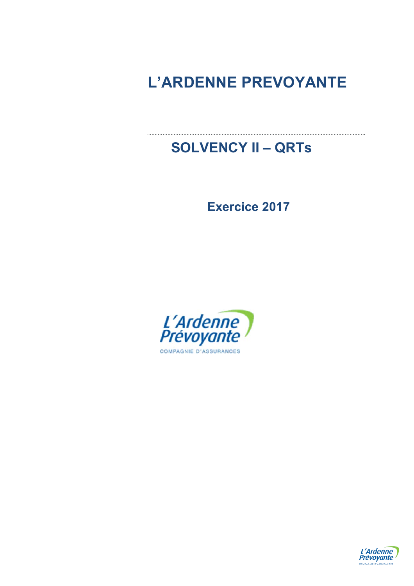# **L'ARDENNE PREVOYANTE**

## **SOLVENCY II – QRTs**

**Exercice 2017** 



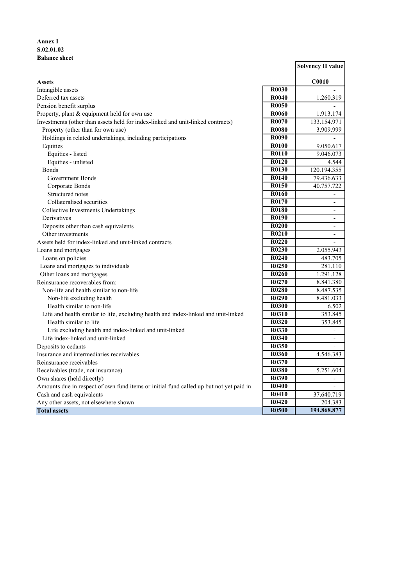## **Annex I S.02.01.02 Balance sheet**

|                                                                                        |                   | <b>Solvency II value</b> |
|----------------------------------------------------------------------------------------|-------------------|--------------------------|
| <b>Assets</b>                                                                          |                   | C <sub>0010</sub>        |
| Intangible assets                                                                      | R0030             |                          |
| Deferred tax assets                                                                    | R0040             | 1.260.319                |
| Pension benefit surplus                                                                | R <sub>0050</sub> |                          |
| Property, plant & equipment held for own use                                           | <b>R0060</b>      | 1.913.174                |
| Investments (other than assets held for index-linked and unit-linked contracts)        | R0070             | 133.154.971              |
| Property (other than for own use)                                                      | <b>R0080</b>      | 3.909.999                |
| Holdings in related undertakings, including participations                             | <b>R0090</b>      | $\overline{\phantom{a}}$ |
| Equities                                                                               | <b>R0100</b>      | 9.050.617                |
| Equities - listed                                                                      | <b>R0110</b>      | 9.046.073                |
| Equities - unlisted                                                                    | <b>R0120</b>      | 4.544                    |
| <b>Bonds</b>                                                                           | R0130             | 120.194.355              |
| Government Bonds                                                                       | <b>R0140</b>      | 79.436.633               |
| Corporate Bonds                                                                        | R0150             | 40.757.722               |
| Structured notes                                                                       | R0160             | $\overline{a}$           |
| Collateralised securities                                                              | R0170             | $\overline{a}$           |
| Collective Investments Undertakings                                                    | <b>R0180</b>      | $\blacksquare$           |
| Derivatives                                                                            | R0190             | $\overline{\phantom{a}}$ |
| Deposits other than cash equivalents                                                   | <b>R0200</b>      | $\blacksquare$           |
| Other investments                                                                      | R0210             | $\blacksquare$           |
| Assets held for index-linked and unit-linked contracts                                 | R0220             | $\overline{\phantom{a}}$ |
| Loans and mortgages                                                                    | R0230             | 2.055.943                |
| Loans on policies                                                                      | R <sub>0240</sub> | 483.705                  |
| Loans and mortgages to individuals                                                     | R0250             | 281.110                  |
| Other loans and mortgages                                                              | R0260             | 1.291.128                |
| Reinsurance recoverables from:                                                         | R <sub>0270</sub> | 8.841.380                |
| Non-life and health similar to non-life                                                | R0280             | 8.487.535                |
| Non-life excluding health                                                              | R <sub>0290</sub> | 8.481.033                |
| Health similar to non-life                                                             | <b>R0300</b>      | 6.502                    |
| Life and health similar to life, excluding health and index-linked and unit-linked     | <b>R0310</b>      | 353.845                  |
| Health similar to life                                                                 | <b>R0320</b>      | 353.845                  |
| Life excluding health and index-linked and unit-linked                                 | <b>R0330</b>      |                          |
| Life index-linked and unit-linked                                                      | R0340             | $\overline{\phantom{a}}$ |
| Deposits to cedants                                                                    | <b>R0350</b>      | $\overline{a}$           |
| Insurance and intermediaries receivables                                               | <b>R0360</b>      | 4.546.383                |
| Reinsurance receivables                                                                | R0370             | $\mathcal{L}$            |
| Receivables (trade, not insurance)                                                     | <b>R0380</b>      | 5.251.604                |
| Own shares (held directly)                                                             | <b>R0390</b>      | $\overline{\phantom{a}}$ |
| Amounts due in respect of own fund items or initial fund called up but not yet paid in | <b>R0400</b>      | $\overline{a}$           |
| Cash and cash equivalents                                                              | R0410             | 37.640.719               |
| Any other assets, not elsewhere shown                                                  | R0420             | 204.383                  |
| <b>Total assets</b>                                                                    | <b>R0500</b>      | 194.868.877              |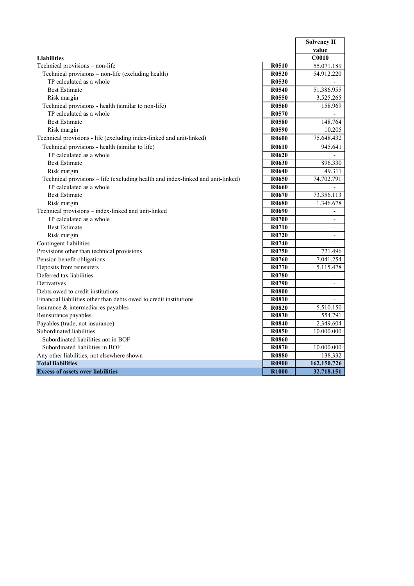|                                                                                 |                   | <b>Solvency II</b>       |
|---------------------------------------------------------------------------------|-------------------|--------------------------|
|                                                                                 |                   | value                    |
| <b>Liabilities</b>                                                              |                   | <b>C0010</b>             |
| Technical provisions - non-life                                                 | R <sub>0510</sub> | 55.071.189               |
| Technical provisions – non-life (excluding health)                              | R <sub>0520</sub> | 54.912.220               |
| TP calculated as a whole                                                        | R0530             |                          |
| <b>Best Estimate</b>                                                            | R0540             | 51.386.955               |
| Risk margin                                                                     | R <sub>0550</sub> | 3.525.265                |
| Technical provisions - health (similar to non-life)                             | R0560             | 158.969                  |
| TP calculated as a whole                                                        | R <sub>0570</sub> | $\blacksquare$           |
| <b>Best Estimate</b>                                                            | R0580             | 148.764                  |
| Risk margin                                                                     | R <sub>0590</sub> | 10.205                   |
| Technical provisions - life (excluding index-linked and unit-linked)            | R <sub>0600</sub> | 75.648.432               |
| Technical provisions - health (similar to life)                                 | R <sub>0610</sub> | 945.641                  |
| TP calculated as a whole                                                        | R <sub>0620</sub> |                          |
| <b>Best Estimate</b>                                                            | R0630             | 896.330                  |
| Risk margin                                                                     | R0640             | 49.311                   |
| Technical provisions - life (excluding health and index-linked and unit-linked) | R0650             | 74.702.791               |
| TP calculated as a whole                                                        | R0660             |                          |
| <b>Best Estimate</b>                                                            | R <sub>0670</sub> | 73.356.113               |
| Risk margin                                                                     | R0680             | 1.346.678                |
| Technical provisions - index-linked and unit-linked                             | R <sub>0690</sub> | $\overline{\phantom{a}}$ |
| TP calculated as a whole                                                        | R0700             | $\overline{\phantom{a}}$ |
| <b>Best Estimate</b>                                                            | R0710             | $\blacksquare$           |
| Risk margin                                                                     | R0720             | $\blacksquare$           |
| Contingent liabilities                                                          | R0740             | $\overline{\phantom{a}}$ |
| Provisions other than technical provisions                                      | R0750             | 721.496                  |
| Pension benefit obligations                                                     | R0760             | 7.041.254                |
| Deposits from reinsurers                                                        | R0770             | 5.115.478                |
| Deferred tax liabilities                                                        | R0780             | $\overline{\phantom{a}}$ |
| Derivatives                                                                     | R0790             | $\overline{\phantom{a}}$ |
| Debts owed to credit institutions                                               | <b>R0800</b>      | $\overline{\phantom{a}}$ |
| Financial liabilities other than debts owed to credit institutions              | R0810             | $\overline{\phantom{a}}$ |
| Insurance & intermediaries payables                                             | <b>R0820</b>      | 5.510.150                |
| Reinsurance payables                                                            | R0830             | 554.791                  |
| Payables (trade, not insurance)                                                 | R0840             | 2.349.604                |
| Subordinated liabilities                                                        | R0850             | 10.000.000               |
| Subordinated liabilities not in BOF                                             | <b>R0860</b>      |                          |
| Subordinated liabilities in BOF                                                 | R0870             | 10.000.000               |
| Any other liabilities, not elsewhere shown                                      | <b>R0880</b>      | 138.332                  |
| <b>Total liabilities</b>                                                        | <b>R0900</b>      | 162.150.726              |
| <b>Excess of assets over liabilities</b>                                        | <b>R1000</b>      | 32.718.151               |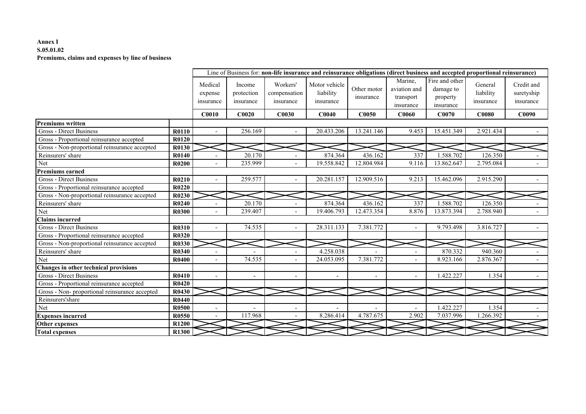## **Annex I S.05.01.02Premiums, claims and expenses by line of business**

|                                               |              |                                                                                                                                                                                      |         |                                                   | Line of Business for: non-life insurance and reinsurance obligations (direct business and accepted proportional reinsurance) |                                   |                                       |            |              |       |
|-----------------------------------------------|--------------|--------------------------------------------------------------------------------------------------------------------------------------------------------------------------------------|---------|---------------------------------------------------|------------------------------------------------------------------------------------------------------------------------------|-----------------------------------|---------------------------------------|------------|--------------|-------|
|                                               |              | Medical<br>Workers'<br>Motor vehicle<br>Income<br>Other motor<br>liability<br>compensation<br>protection<br>expense<br>insurance<br>insurance<br>insurance<br>insurance<br>insurance |         | Marine.<br>aviation and<br>transport<br>insurance | Fire and other<br>damage to<br>property<br>insurance                                                                         | General<br>liability<br>insurance | Credit and<br>suretyship<br>insurance |            |              |       |
|                                               |              | <b>C0010</b>                                                                                                                                                                         | C0020   | <b>C0030</b>                                      | C0040                                                                                                                        | <b>C0050</b>                      | C <sub>0060</sub>                     | C0070      | <b>C0080</b> | C0090 |
| <b>Premiums</b> written                       |              |                                                                                                                                                                                      |         |                                                   |                                                                                                                              |                                   |                                       |            |              |       |
| <b>Gross - Direct Business</b>                | <b>R0110</b> | $\overline{\phantom{a}}$                                                                                                                                                             | 256.169 |                                                   | 20.433.206                                                                                                                   | 13.241.146                        | 9.453                                 | 15.451.349 | 2.921.434    |       |
| Gross - Proportional reinsurance accepted     | R0120        |                                                                                                                                                                                      |         |                                                   |                                                                                                                              |                                   |                                       |            |              |       |
| Gross - Non-proportional reinsurance accepted | R0130        |                                                                                                                                                                                      |         |                                                   |                                                                                                                              |                                   |                                       |            |              |       |
| Reinsurers' share                             | <b>R0140</b> |                                                                                                                                                                                      | 20.170  |                                                   | 874.364                                                                                                                      | 436.162                           | 337                                   | 1.588.702  | 126.350      |       |
| Net                                           | <b>R0200</b> |                                                                                                                                                                                      | 235.999 |                                                   | 19.558.842                                                                                                                   | 12.804.984                        | $\overline{9.116}$                    | 13.862.647 | 2.795.084    |       |
| <b>Premiums earned</b>                        |              |                                                                                                                                                                                      |         |                                                   |                                                                                                                              |                                   |                                       |            |              |       |
| <b>Gross - Direct Business</b>                | R0210        |                                                                                                                                                                                      | 259,577 |                                                   | 20.281.157                                                                                                                   | 12.909.516                        | 9.213                                 | 15.462.096 | 2.915.290    |       |
| Gross - Proportional reinsurance accepted     | R0220        |                                                                                                                                                                                      |         |                                                   |                                                                                                                              |                                   |                                       |            |              |       |
| Gross - Non-proportional reinsurance accepted | <b>R0230</b> |                                                                                                                                                                                      |         |                                                   |                                                                                                                              |                                   |                                       |            |              |       |
| Reinsurers' share                             | R0240        |                                                                                                                                                                                      | 20.170  |                                                   | 874.364                                                                                                                      | 436.162                           | 337                                   | 1.588.702  | 126.350      |       |
| Net                                           | <b>R0300</b> |                                                                                                                                                                                      | 239.407 |                                                   | 19.406.793                                                                                                                   | 12.473.354                        | 8.876                                 | 13.873.394 | 2.788.940    |       |
| <b>Claims incurred</b>                        |              |                                                                                                                                                                                      |         |                                                   |                                                                                                                              |                                   |                                       |            |              |       |
| Gross - Direct Business                       | <b>R0310</b> | $\overline{a}$                                                                                                                                                                       | 74.535  |                                                   | 28.311.133                                                                                                                   | 7.381.772                         |                                       | 9.793.498  | 3.816.727    |       |
| Gross - Proportional reinsurance accepted     | R0320        |                                                                                                                                                                                      |         |                                                   |                                                                                                                              |                                   |                                       |            |              |       |
| Gross - Non-proportional reinsurance accepted | <b>R0330</b> |                                                                                                                                                                                      |         |                                                   |                                                                                                                              |                                   |                                       |            |              |       |
| Reinsurers' share                             | R0340        |                                                                                                                                                                                      |         |                                                   | 4.258.038                                                                                                                    |                                   |                                       | 870.332    | 940.360      |       |
| Net                                           | <b>R0400</b> |                                                                                                                                                                                      | 74.535  |                                                   | 24.053.095                                                                                                                   | 7.381.772                         |                                       | 8.923.166  | 2.876.367    |       |
| Changes in other technical provisions         |              |                                                                                                                                                                                      |         |                                                   |                                                                                                                              |                                   |                                       |            |              |       |
| Gross - Direct Business                       | R0410        |                                                                                                                                                                                      |         |                                                   |                                                                                                                              |                                   |                                       | 1.422.227  | 1.354        |       |
| Gross - Proportional reinsurance accepted     | <b>R0420</b> |                                                                                                                                                                                      |         |                                                   |                                                                                                                              |                                   |                                       |            |              |       |
| Gross - Non-proportional reinsurance accepted | R0430        |                                                                                                                                                                                      |         |                                                   |                                                                                                                              |                                   |                                       |            |              |       |
| Reinsurers'share                              | <b>R0440</b> |                                                                                                                                                                                      |         |                                                   |                                                                                                                              |                                   |                                       |            |              |       |
| Net                                           | <b>R0500</b> | $\sim$                                                                                                                                                                               |         | $\blacksquare$                                    |                                                                                                                              |                                   |                                       | 1.422.227  | 1.354        |       |
| <b>Expenses incurred</b>                      | R0550        |                                                                                                                                                                                      | 117.968 |                                                   | 8.286.414                                                                                                                    | 4.787.675                         | 2.902                                 | 7.037.996  | 1.266.392    |       |
| Other expenses                                | <b>R1200</b> |                                                                                                                                                                                      |         |                                                   |                                                                                                                              |                                   |                                       |            |              |       |
| <b>Total expenses</b>                         | <b>R1300</b> |                                                                                                                                                                                      |         |                                                   |                                                                                                                              |                                   |                                       |            |              |       |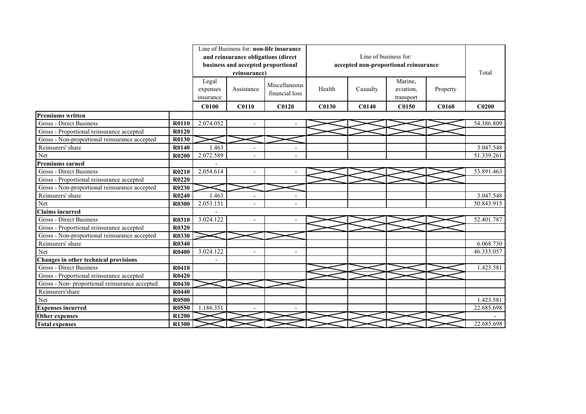|                                               |              |              |                                     | Line of Business for: non-life insurance |              |                       |                                       |              |                   |
|-----------------------------------------------|--------------|--------------|-------------------------------------|------------------------------------------|--------------|-----------------------|---------------------------------------|--------------|-------------------|
|                                               |              |              | and reinsurance obligations (direct |                                          |              | Line of business for: |                                       |              |                   |
|                                               |              |              | business and accepted proportional  |                                          |              |                       | accepted non-proportional reinsurance |              |                   |
|                                               |              |              | reinsurance)                        |                                          |              |                       |                                       |              | Total             |
|                                               |              | Legal        |                                     |                                          |              |                       | Marine,                               |              |                   |
|                                               |              | expenses     | Assistance                          | Miscellaneous                            | Health       | Casualty              | aviation.                             | Property     |                   |
|                                               |              | insurance    |                                     | financial loss                           |              |                       | transport                             |              |                   |
|                                               |              | <b>C0100</b> | <b>C0110</b>                        | <b>C0120</b>                             | <b>C0130</b> | C0140                 | C0150                                 | <b>C0160</b> | C <sub>0200</sub> |
| <b>Premiums written</b>                       |              |              |                                     |                                          |              |                       |                                       |              |                   |
| Gross - Direct Business                       | R0110        | 2.074.052    |                                     |                                          |              |                       |                                       |              | 54.386.809        |
| Gross - Proportional reinsurance accepted     | R0120        |              |                                     |                                          |              |                       |                                       |              |                   |
| Gross - Non-proportional reinsurance accepted | R0130        |              |                                     |                                          |              |                       |                                       |              |                   |
| Reinsurers' share                             | R0140        | 1.463        | $\overline{\phantom{a}}$            |                                          |              |                       |                                       |              | 3.047.548         |
| Net                                           | R0200        | 2.072.589    |                                     |                                          |              |                       |                                       |              | 51.339.261        |
| <b>Premiums earned</b>                        |              |              |                                     |                                          |              |                       |                                       |              |                   |
| Gross - Direct Business                       | R0210        | 2.054.614    |                                     |                                          |              |                       |                                       |              | 53.891.463        |
| Gross - Proportional reinsurance accepted     | R0220        |              |                                     |                                          |              |                       |                                       |              |                   |
| Gross - Non-proportional reinsurance accepted | R0230        |              |                                     |                                          |              |                       |                                       |              |                   |
| Reinsurers' share                             | R0240        | 1.463        |                                     |                                          |              |                       |                                       |              | 3.047.548         |
| Net                                           | <b>R0300</b> | 2.053.151    |                                     |                                          |              |                       |                                       |              | 50.843.915        |
| <b>Claims incurred</b>                        |              |              |                                     |                                          |              |                       |                                       |              |                   |
| <b>Gross - Direct Business</b>                | R0310        | 3.024.122    |                                     |                                          |              |                       |                                       |              | 52.401.787        |
| Gross - Proportional reinsurance accepted     | R0320        |              |                                     |                                          |              |                       |                                       |              |                   |
| Gross - Non-proportional reinsurance accepted | <b>R0330</b> |              |                                     |                                          |              |                       |                                       |              |                   |
| Reinsurers' share                             | <b>R0340</b> |              |                                     |                                          |              |                       |                                       |              | 6.068.730         |
| Net                                           | R0400        | 3.024.122    |                                     |                                          |              |                       |                                       |              | 46.333.057        |
| Changes in other technical provisions         |              |              |                                     |                                          |              |                       |                                       |              |                   |
| <b>Gross - Direct Business</b>                | <b>R0410</b> |              |                                     |                                          |              |                       |                                       |              | 1.423.581         |
| Gross - Proportional reinsurance accepted     | R0420        |              |                                     |                                          |              |                       |                                       |              |                   |
| Gross - Non-proportional reinsurance accepted | R0430        |              |                                     |                                          |              |                       |                                       |              |                   |
| Reinsurers'share                              | R0440        |              |                                     |                                          |              |                       |                                       |              |                   |
| Net                                           | <b>R0500</b> |              |                                     |                                          |              |                       |                                       |              | 1.423.581         |
| <b>Expenses incurred</b>                      | R0550        | 1.186.351    |                                     |                                          |              |                       |                                       |              | 22.685.698        |
| Other expenses                                | R1200        |              |                                     |                                          |              |                       |                                       |              |                   |
| <b>Total expenses</b>                         | R1300        |              |                                     |                                          |              |                       |                                       |              | 22.685.698        |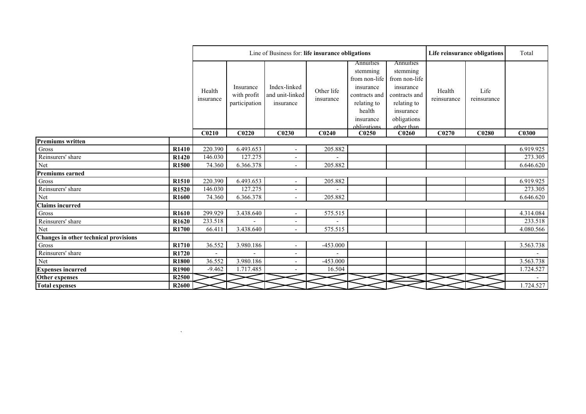|                                       |                   |                      |                                           | Line of Business for: life insurance obligations |                         |                                                                                                                           |                                                                                                                               | Life reinsurance obligations | Total               |           |
|---------------------------------------|-------------------|----------------------|-------------------------------------------|--------------------------------------------------|-------------------------|---------------------------------------------------------------------------------------------------------------------------|-------------------------------------------------------------------------------------------------------------------------------|------------------------------|---------------------|-----------|
|                                       |                   | Health<br>insurance  | Insurance<br>with profit<br>participation | Index-linked<br>and unit-linked<br>insurance     | Other life<br>insurance | Annuities<br>stemming<br>from non-life<br>insurance<br>contracts and<br>relating to<br>health<br>insurance<br>obligations | Annuities<br>stemming<br>from non-life<br>insurance<br>contracts and<br>relating to<br>insurance<br>obligations<br>other than | Health<br>reinsurance        | Life<br>reinsurance |           |
|                                       |                   | C <sub>0210</sub>    | C <sub>0220</sub>                         | C <sub>0230</sub>                                | C <sub>0240</sub>       | C0250                                                                                                                     | C0260                                                                                                                         | C0270                        | C <sub>0280</sub>   | C0300     |
| Premiums written                      |                   |                      |                                           |                                                  |                         |                                                                                                                           |                                                                                                                               |                              |                     |           |
| $\rm Gross$                           | R1410             | 220.390              | 6.493.653                                 | $\sim$                                           | 205.882                 |                                                                                                                           |                                                                                                                               |                              |                     | 6.919.925 |
| Reinsurers' share                     | R1420             | 146.030              | $\overline{127.275}$                      | $\overline{\phantom{a}}$                         |                         |                                                                                                                           |                                                                                                                               |                              |                     | 273.305   |
| Net                                   | R <sub>1500</sub> | 74.360               | 6.366.378                                 | $\sim$                                           | 205.882                 |                                                                                                                           |                                                                                                                               |                              |                     | 6.646.620 |
| <b>Premiums earned</b>                |                   |                      |                                           |                                                  |                         |                                                                                                                           |                                                                                                                               |                              |                     |           |
| Gross                                 | R1510             | 220.390              | 6.493.653                                 | $\sim$                                           | 205.882                 |                                                                                                                           |                                                                                                                               |                              |                     | 6.919.925 |
| Reinsurers' share                     | R1520             | 146.030              | 127.275                                   | $\overline{\phantom{a}}$                         |                         |                                                                                                                           |                                                                                                                               |                              |                     | 273.305   |
| Net                                   | R <sub>1600</sub> | 74.360               | 6.366.378                                 | $\sim$                                           | 205.882                 |                                                                                                                           |                                                                                                                               |                              |                     | 6.646.620 |
| <b>Claims incurred</b>                |                   |                      |                                           |                                                  |                         |                                                                                                                           |                                                                                                                               |                              |                     |           |
| $\rm Gross$                           | R <sub>1610</sub> | 299.929              | 3.438.640                                 | $\sim$                                           | 575.515                 |                                                                                                                           |                                                                                                                               |                              |                     | 4.314.084 |
| Reinsurers' share                     | R1620             | $\overline{233.518}$ |                                           | $\sim$                                           |                         |                                                                                                                           |                                                                                                                               |                              |                     | 233.518   |
| Net                                   | R <sub>1700</sub> | 66.411               | 3.438.640                                 | $\sim$                                           | 575.515                 |                                                                                                                           |                                                                                                                               |                              |                     | 4.080.566 |
| Changes in other technical provisions |                   |                      |                                           |                                                  |                         |                                                                                                                           |                                                                                                                               |                              |                     |           |
| Gross                                 | R1710             | 36.552               | 3.980.186                                 | $\overline{\phantom{a}}$                         | $-453.000$              |                                                                                                                           |                                                                                                                               |                              |                     | 3.563.738 |
| Reinsurers' share                     | R1720             | $\blacksquare$       |                                           | $\sim$                                           |                         |                                                                                                                           |                                                                                                                               |                              |                     |           |
| Net                                   | R1800             | 36.552               | 3.980.186                                 | $\overline{\phantom{a}}$                         | $-453.000$              |                                                                                                                           |                                                                                                                               |                              |                     | 3.563.738 |
| <b>Expenses incurred</b>              | R1900             | $-9.462$             | 1.717.485                                 |                                                  | 16.504                  |                                                                                                                           |                                                                                                                               |                              |                     | 1.724.527 |
| Other expenses                        | R <sub>2500</sub> |                      |                                           |                                                  |                         |                                                                                                                           |                                                                                                                               |                              |                     |           |
| <b>Total expenses</b>                 | <b>R2600</b>      |                      |                                           |                                                  |                         |                                                                                                                           |                                                                                                                               |                              |                     | 1.724.527 |

 $\mathcal{O}(\mathcal{O}(\mathcal{N}))$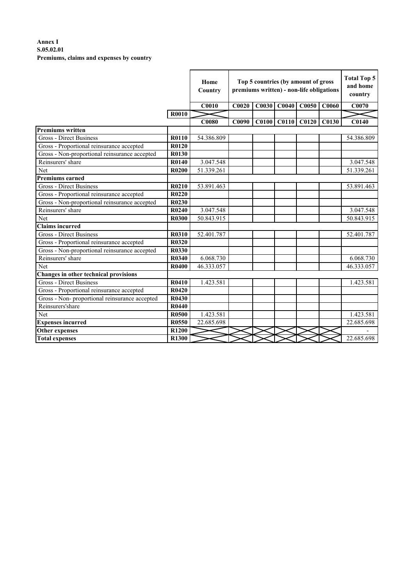## **Annex I S.05.02.01 Premiums, claims and expenses by country**

|                                               |              | Home<br>Country | Top 5 countries (by amount of gross<br>premiums written) - non-life obligations | <b>Total Top 5</b><br>and home<br>country |             |              |       |              |
|-----------------------------------------------|--------------|-----------------|---------------------------------------------------------------------------------|-------------------------------------------|-------------|--------------|-------|--------------|
|                                               |              | <b>C0010</b>    | C0020                                                                           | <b>C0030</b>                              | C0040       | <b>C0050</b> | C0060 | C0070        |
|                                               | <b>R0010</b> |                 |                                                                                 |                                           |             |              |       |              |
|                                               |              | <b>C0080</b>    | C0090                                                                           |                                           | C0100 C0110 | <b>C0120</b> | C0130 | <b>C0140</b> |
| <b>Premiums written</b>                       |              |                 |                                                                                 |                                           |             |              |       |              |
| Gross - Direct Business                       | R0110        | 54.386.809      |                                                                                 |                                           |             |              |       | 54.386.809   |
| Gross - Proportional reinsurance accepted     | <b>R0120</b> |                 |                                                                                 |                                           |             |              |       |              |
| Gross - Non-proportional reinsurance accepted | <b>R0130</b> |                 |                                                                                 |                                           |             |              |       |              |
| Reinsurers' share                             | R0140        | 3.047.548       |                                                                                 |                                           |             |              |       | 3.047.548    |
| Net                                           | <b>R0200</b> | 51.339.261      |                                                                                 |                                           |             |              |       | 51.339.261   |
| <b>Premiums earned</b>                        |              |                 |                                                                                 |                                           |             |              |       |              |
| <b>Gross - Direct Business</b>                | R0210        | 53.891.463      |                                                                                 |                                           |             |              |       | 53.891.463   |
| Gross - Proportional reinsurance accepted     | R0220        |                 |                                                                                 |                                           |             |              |       |              |
| Gross - Non-proportional reinsurance accepted | R0230        |                 |                                                                                 |                                           |             |              |       |              |
| Reinsurers' share                             | R0240        | 3.047.548       |                                                                                 |                                           |             |              |       | 3.047.548    |
| Net                                           | <b>R0300</b> | 50.843.915      |                                                                                 |                                           |             |              |       | 50.843.915   |
| <b>Claims incurred</b>                        |              |                 |                                                                                 |                                           |             |              |       |              |
| Gross - Direct Business                       | R0310        | 52.401.787      |                                                                                 |                                           |             |              |       | 52.401.787   |
| Gross - Proportional reinsurance accepted     | R0320        |                 |                                                                                 |                                           |             |              |       |              |
| Gross - Non-proportional reinsurance accepted | <b>R0330</b> |                 |                                                                                 |                                           |             |              |       |              |
| Reinsurers' share                             | R0340        | 6.068.730       |                                                                                 |                                           |             |              |       | 6.068.730    |
| Net                                           | <b>R0400</b> | 46.333.057      |                                                                                 |                                           |             |              |       | 46.333.057   |
| Changes in other technical provisions         |              |                 |                                                                                 |                                           |             |              |       |              |
| <b>Gross - Direct Business</b>                | R0410        | 1.423.581       |                                                                                 |                                           |             |              |       | 1.423.581    |
| Gross - Proportional reinsurance accepted     | R0420        |                 |                                                                                 |                                           |             |              |       |              |
| Gross - Non-proportional reinsurance accepted | R0430        |                 |                                                                                 |                                           |             |              |       |              |
| Reinsurers'share                              | <b>R0440</b> |                 |                                                                                 |                                           |             |              |       |              |
| Net                                           | <b>R0500</b> | 1.423.581       |                                                                                 |                                           |             |              |       | 1.423.581    |
| <b>Expenses</b> incurred                      | R0550        | 22.685.698      |                                                                                 |                                           |             |              |       | 22.685.698   |
| <b>Other expenses</b>                         | R1200        |                 |                                                                                 |                                           |             |              |       |              |
| <b>Total expenses</b>                         | <b>R1300</b> |                 |                                                                                 |                                           |             |              |       | 22.685.698   |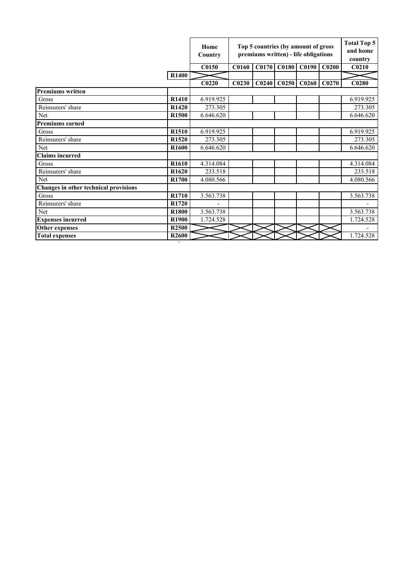|                                       |                   | Home<br>Country   | Top 5 countries (by amount of gross<br>premiums written) - life obligations |                   | <b>Total Top 5</b><br>and home<br>country |                   |                   |                   |
|---------------------------------------|-------------------|-------------------|-----------------------------------------------------------------------------|-------------------|-------------------------------------------|-------------------|-------------------|-------------------|
|                                       |                   | C0150             | <b>C0160</b>                                                                | C0170             | C0180                                     | C0190             | C <sub>0200</sub> | C <sub>0210</sub> |
|                                       | <b>R1400</b>      |                   |                                                                             |                   |                                           |                   |                   |                   |
|                                       |                   | C <sub>0220</sub> | C <sub>0230</sub>                                                           | C <sub>0240</sub> | C0250                                     | C <sub>0260</sub> | C <sub>0270</sub> | C0280             |
| <b>Premiums written</b>               |                   |                   |                                                                             |                   |                                           |                   |                   |                   |
| Gross                                 | R1410             | 6.919.925         |                                                                             |                   |                                           |                   |                   | 6.919.925         |
| Reinsurers' share                     | R1420             | 273.305           |                                                                             |                   |                                           |                   |                   | 273.305           |
| Net                                   | R1500             | 6.646.620         |                                                                             |                   |                                           |                   |                   | 6.646.620         |
| <b>Premiums earned</b>                |                   |                   |                                                                             |                   |                                           |                   |                   |                   |
| Gross                                 | R <sub>1510</sub> | 6.919.925         |                                                                             |                   |                                           |                   |                   | 6.919.925         |
| Reinsurers' share                     | R1520             | 273.305           |                                                                             |                   |                                           |                   |                   | 273.305           |
| Net                                   | R <sub>1600</sub> | 6.646.620         |                                                                             |                   |                                           |                   |                   | 6.646.620         |
| <b>Claims</b> incurred                |                   |                   |                                                                             |                   |                                           |                   |                   |                   |
| Gross                                 | R <sub>1610</sub> | 4.314.084         |                                                                             |                   |                                           |                   |                   | 4.314.084         |
| Reinsurers' share                     | R <sub>1620</sub> | 233.518           |                                                                             |                   |                                           |                   |                   | 233.518           |
| Net                                   | R <sub>1700</sub> | 4.080.566         |                                                                             |                   |                                           |                   |                   | 4.080.566         |
| Changes in other technical provisions |                   |                   |                                                                             |                   |                                           |                   |                   |                   |
| Gross                                 | R1710             | 3.563.738         |                                                                             |                   |                                           |                   |                   | 3.563.738         |
| Reinsurers' share                     | R1720             |                   |                                                                             |                   |                                           |                   |                   |                   |
| <b>Net</b>                            | <b>R1800</b>      | 3.563.738         |                                                                             |                   |                                           |                   |                   | 3.563.738         |
| <b>Expenses incurred</b>              | <b>R1900</b>      | 1.724.528         |                                                                             |                   |                                           |                   |                   | 1.724.528         |
| Other expenses                        | R <sub>2500</sub> |                   |                                                                             |                   |                                           |                   |                   |                   |
| <b>Total expenses</b>                 | R <sub>2600</sub> |                   |                                                                             |                   |                                           |                   |                   | 1.724.528         |

`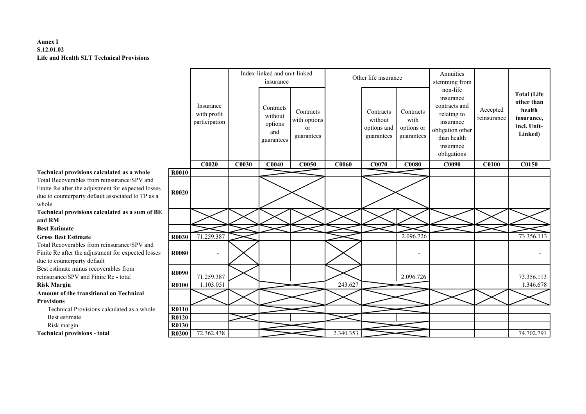## **Annex I S.12.01.02Life and Health SLT Technical Provisions**

## **Technical provisions calculated as a whole**

Total Recoverables from reinsurance/SPV and Finite Re after the adjustment for expected losses due to counterparty default associated to TP as a whole

 **Technical provisions calculated as a sum of BE and RM**

**Best Estimate**

## **Gross Best Estimate**

Total Recoverables from reinsurance/SPV and Finite Re after the adjustment for expected losses due to counterparty default Best estimate minus recoverables from reinsurance/SPV and Finite Re - total**Risk MarginAmount of the transitional on Technical Provisions**

Technical Provisions calculated as a whole

Best estimate

Risk margin

**Technical provisions - total**

|                                                                                                                     |              |                                           |       | Index-linked and unit-linked<br>insurance            |                                               |              | Other life insurance                              |                                               | Annuities<br>stemming from                                                                                                        |                         |                                                                                    |
|---------------------------------------------------------------------------------------------------------------------|--------------|-------------------------------------------|-------|------------------------------------------------------|-----------------------------------------------|--------------|---------------------------------------------------|-----------------------------------------------|-----------------------------------------------------------------------------------------------------------------------------------|-------------------------|------------------------------------------------------------------------------------|
|                                                                                                                     |              | Insurance<br>with profit<br>participation |       | Contracts<br>without<br>options<br>and<br>guarantees | Contracts<br>with options<br>or<br>guarantees |              | Contracts<br>without<br>options and<br>guarantees | Contracts<br>with<br>options or<br>guarantees | non-life<br>insurance<br>contracts and<br>relating to<br>insurance<br>obligation other<br>than health<br>insurance<br>obligations | Accepted<br>reinsurance | <b>Total (Life</b><br>other than<br>health<br>insurance,<br>incl. Unit-<br>Linked) |
|                                                                                                                     |              | C0020                                     | C0030 | C0040                                                | C0050                                         | <b>C0060</b> | C0070                                             | <b>C0080</b>                                  | C0090                                                                                                                             | <b>C0100</b>            | C0150                                                                              |
| rovisions calculated as a whole                                                                                     | <b>R0010</b> |                                           |       |                                                      |                                               |              |                                                   |                                               |                                                                                                                                   |                         |                                                                                    |
| erables from reinsurance/SPV and<br>ter the adjustment for expected losses<br>erparty default associated to TP as a | <b>R0020</b> |                                           |       |                                                      |                                               |              |                                                   |                                               |                                                                                                                                   |                         |                                                                                    |
| rovisions calculated as a sum of BE                                                                                 |              |                                           |       |                                                      |                                               |              |                                                   |                                               |                                                                                                                                   |                         |                                                                                    |
| ıte                                                                                                                 |              |                                           |       |                                                      |                                               |              |                                                   |                                               |                                                                                                                                   |                         |                                                                                    |
| <b>Estimate</b>                                                                                                     | R0030        | 71.259.387                                |       |                                                      |                                               |              |                                                   | 2.096.726                                     |                                                                                                                                   |                         | 73.356.113                                                                         |
| erables from reinsurance/SPV and<br>ter the adjustment for expected losses<br>erparty default                       | R0080        |                                           |       |                                                      |                                               |              |                                                   |                                               |                                                                                                                                   |                         |                                                                                    |
| e minus recoverables from<br>SPV and Finite Re - total                                                              | R0090        | 71.259.387                                |       |                                                      |                                               |              |                                                   | 2.096.726                                     |                                                                                                                                   |                         | 73.356.113                                                                         |
| n                                                                                                                   | R0100        | 1.103.051                                 |       |                                                      |                                               | 243.627      |                                                   |                                               |                                                                                                                                   |                         | 1.346.678                                                                          |
| the transitional on Technical                                                                                       |              |                                           |       |                                                      |                                               |              |                                                   |                                               |                                                                                                                                   |                         |                                                                                    |
| al Provisions calculated as a whole                                                                                 | R0110        |                                           |       |                                                      |                                               |              |                                                   |                                               |                                                                                                                                   |                         |                                                                                    |
| imate                                                                                                               | <b>R0120</b> |                                           |       |                                                      |                                               |              |                                                   |                                               |                                                                                                                                   |                         |                                                                                    |
| ırgin                                                                                                               | R0130        |                                           |       |                                                      |                                               |              |                                                   |                                               |                                                                                                                                   |                         |                                                                                    |
| rovisions - total                                                                                                   | <b>R0200</b> | 72.362.438                                |       |                                                      |                                               | 2.340.353    |                                                   |                                               |                                                                                                                                   |                         | 74.702.791                                                                         |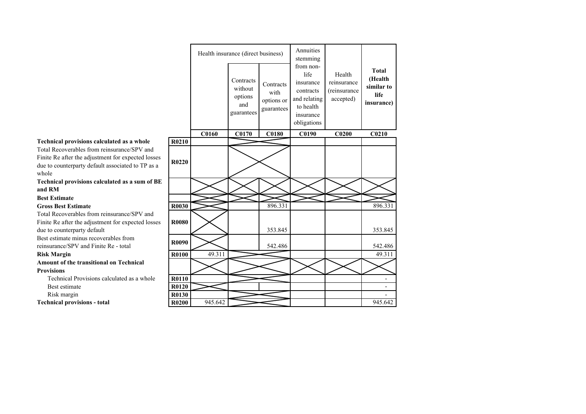|                                                                                                                     |              |         | Health insurance (direct business)                   |                                               | Annuities<br>stemming                                                                                |                                                    |                                                                     |
|---------------------------------------------------------------------------------------------------------------------|--------------|---------|------------------------------------------------------|-----------------------------------------------|------------------------------------------------------------------------------------------------------|----------------------------------------------------|---------------------------------------------------------------------|
|                                                                                                                     |              |         | Contracts<br>without<br>options<br>and<br>guarantees | Contracts<br>with<br>options or<br>guarantees | from non-<br>life<br>insurance<br>contracts<br>and relating<br>to health<br>insurance<br>obligations | Health<br>reinsurance<br>(reinsurance<br>accepted) | <b>Total</b><br>(Health<br>similar to<br>life<br><i>insurance</i> ) |
|                                                                                                                     |              | C0160   | C0170                                                | <b>C0180</b>                                  | C0190                                                                                                | C <sub>0200</sub>                                  | C <sub>0210</sub>                                                   |
| rovisions calculated as a whole                                                                                     | R0210        |         |                                                      |                                               |                                                                                                      |                                                    |                                                                     |
| erables from reinsurance/SPV and<br>ter the adjustment for expected losses<br>erparty default associated to TP as a | R0220        |         |                                                      |                                               |                                                                                                      |                                                    |                                                                     |
| rovisions calculated as a sum of BE                                                                                 |              |         |                                                      |                                               |                                                                                                      |                                                    |                                                                     |
| ıte                                                                                                                 |              |         |                                                      |                                               |                                                                                                      |                                                    |                                                                     |
| <b>Estimate</b>                                                                                                     | R0030        |         |                                                      | 896.331                                       |                                                                                                      |                                                    | 896.331                                                             |
| erables from reinsurance/SPV and<br>ter the adjustment for expected losses<br>erparty default                       | <b>R0080</b> |         |                                                      | 353.845                                       |                                                                                                      |                                                    | 353.845                                                             |
| e minus recoverables from<br>SPV and Finite Re - total                                                              | R0090        |         |                                                      | 542.486                                       |                                                                                                      |                                                    | 542.486                                                             |
| n                                                                                                                   | <b>R0100</b> | 49.311  |                                                      |                                               |                                                                                                      |                                                    | 49.311                                                              |
| the transitional on Technical                                                                                       |              |         |                                                      |                                               |                                                                                                      |                                                    |                                                                     |
| al Provisions calculated as a whole                                                                                 | R0110        |         |                                                      |                                               |                                                                                                      |                                                    |                                                                     |
| imate                                                                                                               | R0120        |         |                                                      |                                               |                                                                                                      |                                                    |                                                                     |
| ırgin                                                                                                               | R0130        |         |                                                      |                                               |                                                                                                      |                                                    |                                                                     |
| rovisions - total                                                                                                   | <b>R0200</b> | 945.642 |                                                      |                                               |                                                                                                      |                                                    | 945.642                                                             |

## **Technical provisions calculated as a whole**

Total Recoverables from reinsurance/SPV and Finite Re after the adjustment for expected losses due to counterparty default associated to TP as a whole

 **Technical provisions calculated as a sum of BE and RM**

## **Best Estimate**

**Gross Best Estimate**

Total Recoverables from reinsurance/SPV and Finite Re after the adjustment for expected losses due to counterparty default

 Best estimate minus recoverables from reinsurance/SPV and Finite Re - total

## **Risk Margin**

**Amount of the transitional on Technical Provisions**

 Technical Provisions calculated as a wholeBest estimate

Risk margin

**Technical provisions - total**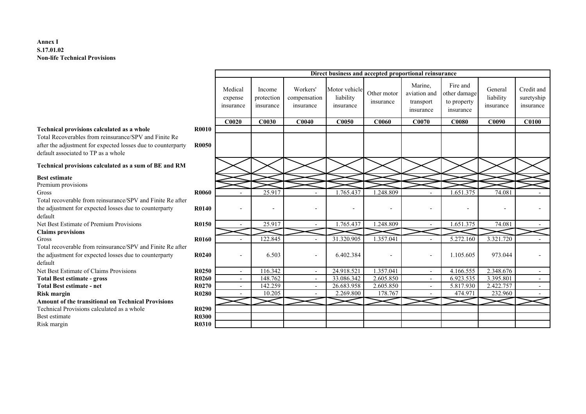## **Annex I S.17.01.02Non-life Technical Provisions**

|                                                                                                     |                   |                                 | Direct business and accepted proportional reinsurance |                                       |                                         |                          |                                                   |                                                      |                                   |                                       |  |  |  |  |
|-----------------------------------------------------------------------------------------------------|-------------------|---------------------------------|-------------------------------------------------------|---------------------------------------|-----------------------------------------|--------------------------|---------------------------------------------------|------------------------------------------------------|-----------------------------------|---------------------------------------|--|--|--|--|
|                                                                                                     |                   | Medical<br>expense<br>insurance | Income<br>protection<br>insurance                     | Workers'<br>compensation<br>insurance | Motor vehicle<br>liability<br>insurance | Other motor<br>insurance | Marine.<br>aviation and<br>transport<br>insurance | Fire and<br>other damage<br>to property<br>insurance | General<br>liability<br>insurance | Credit and<br>suretyship<br>insurance |  |  |  |  |
|                                                                                                     |                   | C0020                           | C0030                                                 | C0040                                 | <b>C0050</b>                            | <b>C0060</b>             | C0070                                             | <b>C0080</b>                                         | C0090                             | <b>C0100</b>                          |  |  |  |  |
| Technical provisions calculated as a whole                                                          | <b>R0010</b>      |                                 |                                                       |                                       |                                         |                          |                                                   |                                                      |                                   |                                       |  |  |  |  |
| Total Recoverables from reinsurance/SPV and Finite Re                                               |                   |                                 |                                                       |                                       |                                         |                          |                                                   |                                                      |                                   |                                       |  |  |  |  |
| after the adjustment for expected losses due to counterparty<br>default associated to TP as a whole | <b>R0050</b>      |                                 |                                                       |                                       |                                         |                          |                                                   |                                                      |                                   |                                       |  |  |  |  |
| Technical provisions calculated as a sum of BE and RM                                               |                   |                                 |                                                       |                                       |                                         |                          |                                                   |                                                      |                                   |                                       |  |  |  |  |
| <b>Best estimate</b>                                                                                |                   |                                 |                                                       |                                       |                                         |                          |                                                   |                                                      |                                   |                                       |  |  |  |  |
| Premium provisions                                                                                  |                   |                                 |                                                       |                                       |                                         |                          |                                                   |                                                      |                                   |                                       |  |  |  |  |
| Gross                                                                                               | <b>R0060</b>      |                                 | 25.917                                                |                                       | 1.765.437                               | 1.248.809                |                                                   | 1.651.375                                            | 74.081                            |                                       |  |  |  |  |
| Total recoverable from reinsurance/SPV and Finite Re after                                          |                   |                                 |                                                       |                                       |                                         |                          |                                                   |                                                      |                                   |                                       |  |  |  |  |
| the adjustment for expected losses due to counterparty<br>default                                   | R0140             |                                 | $\overline{\phantom{a}}$                              | ۰                                     | $\overline{\phantom{a}}$                |                          |                                                   |                                                      |                                   |                                       |  |  |  |  |
| Net Best Estimate of Premium Provisions                                                             | R0150             |                                 | 25.917                                                |                                       | 1.765.437                               | 1.248.809                |                                                   | 1.651.375                                            | 74.081                            |                                       |  |  |  |  |
| <b>Claims provisions</b>                                                                            |                   |                                 |                                                       |                                       |                                         |                          |                                                   |                                                      |                                   |                                       |  |  |  |  |
| Gross                                                                                               | <b>R0160</b>      |                                 | 122.845                                               |                                       | 31.320.905                              | 1.357.041                |                                                   | 5.272.160                                            | 3.321.720                         |                                       |  |  |  |  |
| Total recoverable from reinsurance/SPV and Finite Re after                                          |                   |                                 |                                                       |                                       |                                         |                          |                                                   |                                                      |                                   |                                       |  |  |  |  |
| the adjustment for expected losses due to counterparty                                              | R0240             |                                 | 6.503                                                 |                                       | 6.402.384                               |                          | $\blacksquare$                                    | 1.105.605                                            | 973.044                           |                                       |  |  |  |  |
| default                                                                                             |                   |                                 |                                                       |                                       |                                         |                          |                                                   |                                                      |                                   |                                       |  |  |  |  |
| Net Best Estimate of Claims Provisions                                                              | R <sub>0250</sub> | $\overline{\phantom{a}}$        | 116.342                                               | $\blacksquare$                        | 24.918.521                              | 1.357.041                | $\overline{\phantom{a}}$                          | 4.166.555                                            | 2.348.676                         | $\sim$                                |  |  |  |  |
| <b>Total Best estimate - gross</b>                                                                  | R0260             | $\sim$                          | 148.762                                               | $\overline{\phantom{a}}$              | 33.086.342                              | 2.605.850                | $\sim$                                            | 6.923.535                                            | 3.395.801                         | $\sim$                                |  |  |  |  |
| <b>Total Best estimate - net</b>                                                                    | R0270             | $\sim$                          | 142.259                                               | $\overline{a}$                        | 26.683.958                              | 2.605.850                | $\overline{a}$                                    | 5.817.930                                            | 2.422.757                         | $\sim$                                |  |  |  |  |
| <b>Risk margin</b>                                                                                  | R0280             |                                 | 10.205                                                |                                       | 2.269.800                               | 178.767                  |                                                   | 474.971                                              | 232.960                           |                                       |  |  |  |  |
| <b>Amount of the transitional on Technical Provisions</b>                                           |                   |                                 |                                                       |                                       |                                         |                          |                                                   |                                                      |                                   |                                       |  |  |  |  |
| Technical Provisions calculated as a whole                                                          | R <sub>0290</sub> |                                 |                                                       |                                       |                                         |                          |                                                   |                                                      |                                   |                                       |  |  |  |  |
| Best estimate                                                                                       | <b>R0300</b>      |                                 |                                                       |                                       |                                         |                          |                                                   |                                                      |                                   |                                       |  |  |  |  |
| Risk margin                                                                                         | R0310             |                                 |                                                       |                                       |                                         |                          |                                                   |                                                      |                                   |                                       |  |  |  |  |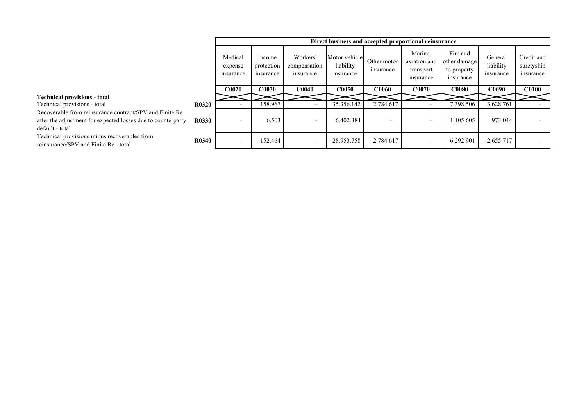|                                                                                                                                            |              |                                 |                                   |                                       |                                         |                          | Direct business and accepted proportional reinsurance |                                                      |                                   |                                       |
|--------------------------------------------------------------------------------------------------------------------------------------------|--------------|---------------------------------|-----------------------------------|---------------------------------------|-----------------------------------------|--------------------------|-------------------------------------------------------|------------------------------------------------------|-----------------------------------|---------------------------------------|
|                                                                                                                                            |              | Medical<br>expense<br>insurance | Income<br>protection<br>insurance | Workers'<br>compensation<br>insurance | Motor vehicle<br>liability<br>insurance | Other motor<br>insurance | Marine.<br>aviation and<br>transport<br>insurance     | Fire and<br>other damage<br>to property<br>insurance | General<br>liability<br>insurance | Credit and<br>suretyship<br>insurance |
|                                                                                                                                            |              | <b>C0020</b>                    | <b>COO3O</b>                      | <b>C0040</b>                          | <b>C0050</b>                            | <b>C0060</b>             | <b>C0070</b>                                          | <b>C0080</b>                                         | <b>C0090</b>                      | <b>C0100</b>                          |
| <b>Technical provisions - total</b>                                                                                                        |              |                                 |                                   |                                       |                                         |                          |                                                       |                                                      |                                   |                                       |
| Technical provisions - total                                                                                                               | <b>R0320</b> |                                 | 158.967                           |                                       | 35.356.142                              | 2.784.617                |                                                       | 398.506                                              | 3.628.761                         |                                       |
| Recoverable from reinsurance contract/SPV and Finite Re<br>after the adjustment for expected losses due to counterparty<br>default - total | <b>R0330</b> |                                 | 6.503                             | $\overline{\phantom{0}}$              | 6.402.384                               |                          | $\overline{\phantom{0}}$                              | 1.105.605                                            | 973.044                           |                                       |
| Technical provisions minus recoverables from<br>reinsurance/SPV and Finite Re - total                                                      | <b>R0340</b> |                                 | 152.464                           | $\overline{\phantom{0}}$              | 28.953.758                              | 2.784.617                | $\overline{\phantom{0}}$                              | 6.292.901                                            | 2.655.717                         |                                       |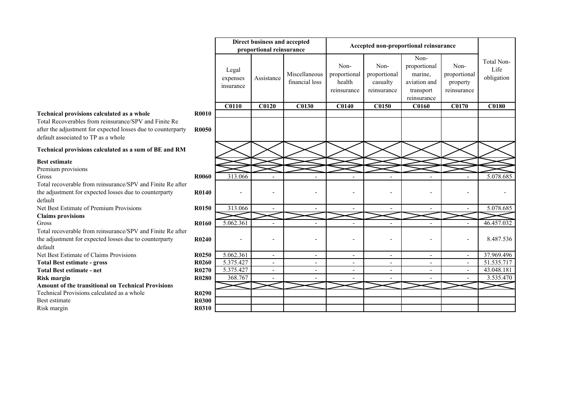#### Legal expenses insuranceAssistance Miscellaneous financial lossNonproportional health reinsuranceNonproportional casualty reinsuranceNonproportional marine, aviation and transport reinsurance **C0110 C0120 C0130 C0140 C0150 C0160 C0170 C0180 Technical provisions calculated as a whole R0010**Total Recoverables from reinsurance/SPV and Finite Re after the adjustment for expected losses due to counterparty default associated to TP as a whole**R0050Technical provisions calculated as a sum of BE and RMBest estimate** Premium provisionsGross $\mathbf{R0060}$ 0 313.066 - - - - - - - - - - 5.078.685 Total recoverable from reinsurance/SPV and Finite Re after the adjustment for expected losses due to counterparty default Net Best Estimate of Premium Provisions**R0140** - - - - - - - - **R0150** $\frac{313.066}{ }$  -  $\frac{1}{2}$  - 5.078.685 **Claims provisions**Gross $\mathbf{R0160}$ 0  $5.062.361$  - - - - - - - - 46.457.032 Total recoverable from reinsurance/SPV and Finite Re after the adjustment for expected losses due to counterparty default Net Best Estimate of Claims Provisions**R0240**0 - - - - - - - - - - - - - - - - - 8.487.536 **R0250**0 5.062.361 - - - - - - - - - 37.969.496 **R0260** 5.375.427 - - - - - - 51.535.717 **Accepted non-proportional reinsuranceproportional reinsurance**

**Direct business and accepted** 

**R0270**

 **R0290R0300** 

**R0310** 

Nonproportional property reinsurance Total Non-Life obligation

0 5.375.427 - - - - - - - - - - - 43.048.181

**Total Best estimate - gross**

**Total Best estimate - net**

**Risk marginR0280** 368.767 - - - - - 3.535.470

**Amount of the transitional on Technical Provisions**Technical Provisions calculated as a whole

**Best estimate** 

Risk margin**n R0310**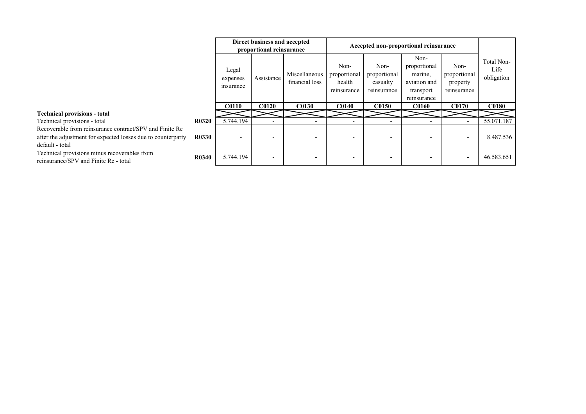|                                                                                                                                            |              |                                | Direct business and accepted<br>proportional reinsurance |                                 |                                               | Accepted non-proportional reinsurance           |                                                                             |                                                 |                                  |
|--------------------------------------------------------------------------------------------------------------------------------------------|--------------|--------------------------------|----------------------------------------------------------|---------------------------------|-----------------------------------------------|-------------------------------------------------|-----------------------------------------------------------------------------|-------------------------------------------------|----------------------------------|
|                                                                                                                                            |              | Legal<br>expenses<br>insurance | Assistance                                               | Miscellaneous<br>financial loss | Non-<br>proportional<br>health<br>reinsurance | Non-<br>proportional<br>casualty<br>reinsurance | Non-<br>proportional<br>marine,<br>aviation and<br>transport<br>reinsurance | Non-<br>proportional<br>property<br>reinsurance | Total Non-<br>Life<br>obligation |
|                                                                                                                                            |              | <b>C0110</b>                   | <b>C0120</b>                                             | <b>C0130</b>                    | <b>C0140</b>                                  | <b>C0150</b>                                    | <b>C0160</b>                                                                | <b>C0170</b>                                    | <b>C0180</b>                     |
| <b>Technical provisions - total</b>                                                                                                        |              |                                |                                                          |                                 |                                               |                                                 |                                                                             |                                                 |                                  |
| Technical provisions - total                                                                                                               | <b>R0320</b> | 5.744.194                      |                                                          |                                 |                                               |                                                 |                                                                             |                                                 | 55.071.187                       |
| Recoverable from reinsurance contract/SPV and Finite Re<br>after the adjustment for expected losses due to counterparty<br>default - total | <b>R0330</b> | $\overline{\phantom{0}}$       | $\overline{\phantom{0}}$                                 | $\overline{\phantom{0}}$        |                                               |                                                 |                                                                             | $\overline{\phantom{a}}$                        | 8.487.536                        |
| Technical provisions minus recoverables from<br>reinsurance/SPV and Finite Re - total                                                      | <b>R0340</b> | 5.744.194                      | $\overline{\phantom{0}}$                                 |                                 |                                               |                                                 |                                                                             | $\overline{\phantom{a}}$                        | 46.583.651                       |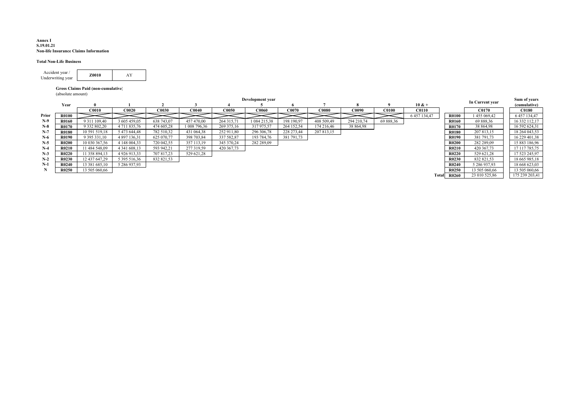#### **Annex I S.19.01.21Non-life Insurance Claims Information**

### **Total Non-Life Business**

| Accident year /   | <b>Z0010</b> |  |
|-------------------|--------------|--|
| Underwriting year |              |  |

#### **Gross Claims Paid (non-cumulative)**

(absolute amount)

|       |              |                   |                |              |                |              | Development year |            |              |              |              |              |              | In Current year | Sum of years   |
|-------|--------------|-------------------|----------------|--------------|----------------|--------------|------------------|------------|--------------|--------------|--------------|--------------|--------------|-----------------|----------------|
|       | Year         |                   |                |              |                |              |                  |            |              |              |              | $10 & +$     |              |                 | (cumulative)   |
|       |              | C0010             | <b>C0020</b>   | <b>C0030</b> | <b>C0040</b>   | <b>C0050</b> | <b>C0060</b>     | C0070      | <b>C0080</b> | <b>C0090</b> | <b>C0100</b> | <b>C0110</b> |              | <b>C0170</b>    | <b>C0180</b>   |
| Prior | R0100        |                   |                |              |                |              |                  |            |              |              |              | 6 457 134,47 | <b>R0100</b> | 455 069,42      | 6 457 134,47   |
| $N-9$ | R0160        | 9 3 1 1 1 0 9 4 0 | 3 605 459,05   | 638 743,07   | 457 470.00     | 264 315,71   | 084 215,38       | 198 190,97 | 408 509,49   | 294 210,74   | 69 888,36    |              | <b>R0160</b> | 69 888,36       | 16 332 112,17  |
| $N-8$ | R0170        | 9 332 802,20      | 4 711 835,76   | 474 605,28   | 1 008 796,36   | 269 375,16   | 317 975,57       | 264 152,54 | 174 216,46   | 38 864,98    |              |              | R0170        | 38 864,98       | 16 592 624,31  |
| $N-7$ | <b>R0180</b> | 10 591 519.18     | 5 473 644.48   | 782 510,32   | 431 064.38     | 252 911.80   | 296 306,78       | 228 273,44 | 207 813,15   |              |              |              | <b>R0180</b> | 207 813,15      | 18 264 043,53  |
| $N-6$ | R0190        | 9 395 331,10      | 4 897 136,31   | 625 070,77   | 398 703,84     | 337 582,87   | 193 784,76       | 381 791,73 |              |              |              |              | R0190        | 381 791,73      | 16 229 401,38  |
| $N-5$ | R0200        | 10 030 367,56     | 4 148 004,33   | 720 042,55   | 3571<br>113.19 | 345 370,24   | 282 289,09       |            |              |              |              |              | <b>R0200</b> | 282 289,09      | 15 883 186,96  |
| $N-4$ | R0210        | 11 484 548,09     | 4 341 608,13   | 593 942,21   | 277 319,59     | 420 367,73   |                  |            |              |              |              |              | R0210        | 420 367,73      | 17 117 785,75  |
| $N-3$ | R0220        | 11 358 894,13     | 4 9 26 9 13 33 | 707817.23    | 529 621,28     |              |                  |            |              |              |              |              | <b>R0220</b> | 529 621,28      | 17 523 245,97  |
| $N-2$ | R0230        | 12 437 647.29     | 5 395 516,36   | 832 821,53   |                |              |                  |            |              |              |              |              | R0230        | 832 821,53      | 18 665 985,18  |
| $N-1$ | R0240        | 13 381 685.10     | 5 286 937.93   |              |                |              |                  |            |              |              |              |              | R0240        | 5 286 937.93    | 18 668 623,03  |
|       | R0250        | 13 505 060,66     |                |              |                |              |                  |            |              |              |              |              | R0250        | 13 505 060,66   | 13 505 060,66  |
|       |              |                   |                |              |                |              |                  |            |              |              |              | Total        | <b>R0260</b> | 23 010 525,86   | 175 239 203,41 |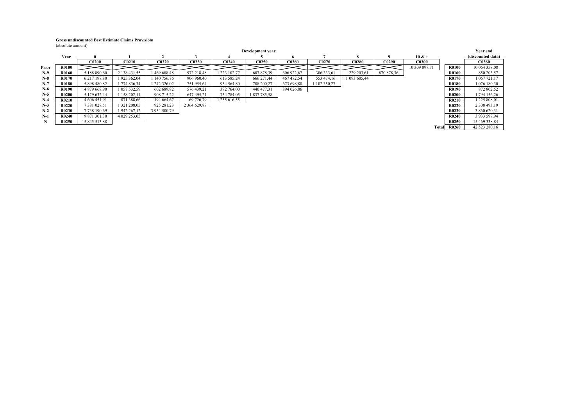#### **Gross undiscounted Best Estimate Claims Provisions**

(absolute amount)

|       |              |               |              |                   |                   |              | Development year |              |            |              |            |               |              | <b>Year end</b>   |
|-------|--------------|---------------|--------------|-------------------|-------------------|--------------|------------------|--------------|------------|--------------|------------|---------------|--------------|-------------------|
|       | Year         | $\mathbf{u}$  |              |                   |                   |              |                  |              |            |              |            | $10 & +$      |              | (discounted data) |
|       |              | <b>C0200</b>  | <b>C0210</b> | C <sub>0220</sub> | <b>C0230</b>      | <b>C0240</b> | <b>C0250</b>     | <b>C0260</b> | C0270      | <b>C0280</b> | C0290      | <b>C0300</b>  |              | <b>C0360</b>      |
| Prior | R0100        |               |              |                   |                   |              |                  |              |            |              |            | 10 309 097,71 | R0100        | 10 064 358,08     |
| $N-9$ | <b>R0160</b> | 5 188 890,60  | 2 138 431,55 | 469 688,48        | 972 218,48        | 223 102.77   | 607 878,39       | 606 922,67   | 306 333,61 | 229 203,61   | 870 878,36 |               | R0160        | 850 203,57        |
| $N-8$ | R0170        | 6 217 197,80  | 1 925 362,04 | 140 756,76        | 906 960.40        | 613 585,24   | 666 271.44       | 467 472.54   | 553 474,16 | 093 685,44   |            |               | <b>R0170</b> | 1 067 721.17      |
| N-7   | <b>R0180</b> | 5 898 480.82  | 774 836.34   | 242 326.02        | 751 955,64        | 954 564,80   | 788 200.27       | 673 698,80   | 102 350,27 |              |            |               | <b>R0180</b> | 1 076 180,30      |
| $N-6$ | <b>R0190</b> | 4879668.90    | 1 057 532,59 | 602 689.82        | 576 439,21        | 372 764,00   | 440 477.31       | 894 026,86   |            |              |            |               | R0190        | 872 802,52        |
| $N-5$ | R0200        | 5 179 632.44  | 158 202.11   | 908 715,22        | 647 495,21        | 754 784,05   | 837 785,58       |              |            |              |            |               | <b>R0200</b> | 794 156,26        |
| $N-4$ | R0210        | 4 606 451,91  | 871 388,66   | 194 664,67        | 69 726.79         | 255 616,55   |                  |              |            |              |            |               | <b>R0210</b> | 225 808,01        |
| $N-3$ | R0220        | 7 381 027,51  | 1 321 208,05 | 925 281,23        | 2 3 6 4 6 2 9 8 8 |              |                  |              |            |              |            |               | <b>R0220</b> | 2 308 493,19      |
| $N-2$ | R0230        | 7738190.69    | 942 267,12   | 3 954 500,79      |                   |              |                  |              |            |              |            |               | R0230        | 3 860 620,31      |
| $N-1$ | R0240        | 9 871 301,30  | 4 029 253,05 |                   |                   |              |                  |              |            |              |            |               | <b>R0240</b> | 3 933 597,94      |
|       | R0250        | 15 845 513,88 |              |                   |                   |              |                  |              |            |              |            |               | R0250        | 15 469 338,84     |
|       |              |               |              |                   |                   |              |                  |              |            |              |            | Total         | <b>R0260</b> | 42 523 280,16     |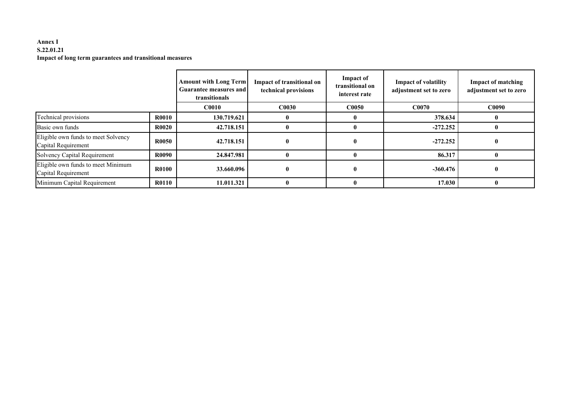## **Annex I S.22.01.21Impact of long term guarantees and transitional measures**

|                                                            |              | <b>Amount with Long Term</b><br><b>Guarantee measures and</b><br>transitionals | Impact of transitional on<br>technical provisions | Impact of<br>transitional on<br>interest rate | <b>Impact of volatility</b><br>adjustment set to zero | <b>Impact of matching</b><br>adjustment set to zero |
|------------------------------------------------------------|--------------|--------------------------------------------------------------------------------|---------------------------------------------------|-----------------------------------------------|-------------------------------------------------------|-----------------------------------------------------|
|                                                            |              | <b>C0010</b>                                                                   | <b>C0030</b>                                      | C0050                                         | <b>C0070</b>                                          | <b>C0090</b>                                        |
| Technical provisions                                       | <b>R0010</b> | 130.719.621                                                                    | $\mathbf{0}$                                      |                                               | 378.634                                               |                                                     |
| Basic own funds                                            | <b>R0020</b> | 42.718.151                                                                     | $\mathbf{0}$                                      |                                               | $-272.252$                                            |                                                     |
| Eligible own funds to meet Solvency<br>Capital Requirement | <b>R0050</b> | 42.718.151                                                                     | $\mathbf{0}$                                      |                                               | $-272.252$                                            |                                                     |
| <b>Solvency Capital Requirement</b>                        | <b>R0090</b> | 24.847.981                                                                     |                                                   |                                               | 86.317                                                |                                                     |
| Eligible own funds to meet Minimum<br>Capital Requirement  | <b>R0100</b> | 33.660.096                                                                     | $\mathbf{0}$                                      |                                               | $-360.476$                                            |                                                     |
| Minimum Capital Requirement                                | <b>R0110</b> | 11.011.321                                                                     |                                                   |                                               | 17.030                                                |                                                     |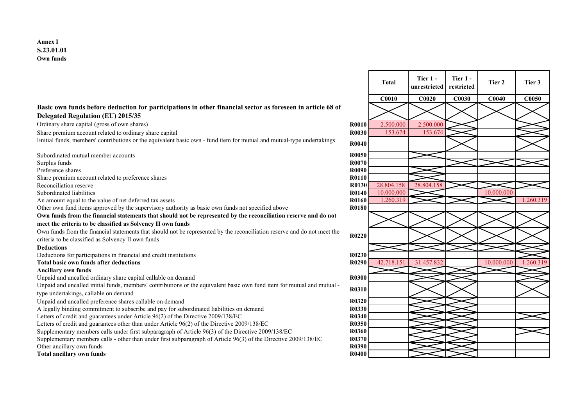## **Basic own funds before deduction for participations in other financial sector as foreseen in article 68 of Delegated Regulation (EU) 2015/35**

Ordinary share capital (gross of own shares)

Share premium account related to ordinary share capital**R0030** 153.674 153.674 Iinitial funds, members' contributions or the equivalent basic own - fund item for mutual and mutual-type undertakings **R0040** 

Subordinated mutual member accounts $\mathbf{R0050}$ Surplus funds**R0070 R0070** Preference shares $\mathbf{R}$ **R0090** Share premium account related to preference shares $\mathbf{R0110}$ **Reconciliation reserve** Subordinated liabilities **R0140** 10.000.000 10.000.000 An amount equal to the value of net deferred tax assetsOther own fund items approved by the supervisory authority as basic own funds not specified above **R0180Own funds from the financial statements that should not be represented by the reconciliation reserve and do not meet the criteria to be classified as Solvency II own funds** Own funds from the financial statements that should not be represented by the reconciliation reserve and do not meet the criteria to be classified as Solvency II own funds**R0220**<br>s **Deductions** Deductions for participations in financial and credit institutions $R0230$ **Total basic own funds after deductionsAncillary own funds** Unpaid and uncalled ordinary share capital callable on demandd **R0300** Unpaid and uncalled initial funds, members' contributions or the equivalent basic own fund item for mutual and mutual type undertakings, callable on demand**R0310**<br>R0310 Unpaid and uncalled preference shares callable on demandd **R0320** A legally binding commitment to subscribe and pay for subordinated liabilities on demand **R0330**Letters of credit and guarantees under Article 96(2) of the Directive 2009/138/ECC R0340 Letters of credit and guarantees other than under Article 96(2) of the Directive 2009/138/ECC R0350 Supplementary members calls under first subparagraph of Article 96(3) of the Directive 2009/138/ECSupplementary members calls under first subparagraph of Article 96(3) of the Directive 2009/138/EC **R0360**<br>Supplementary members calls - other than under first subparagraph of Article 96(3) of the Directive 2009/138/EC Other ancillary own funds**R0390 R0390** 

**Total ancillary own funds**

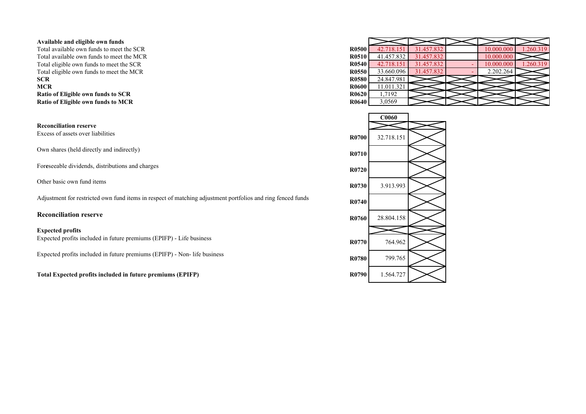## **Available and eligible own funds**

 Total available own funds to meet the SCRTotal available own funds to meet the MCRTotal eligible own funds to meet the SCRTotal eligible own funds to meet the MCR**SCRR0580** 24.847.981 **MCRR**<br>**R0600** 11.011.321<br>**R0600** 17.102 **Ratio of Eligible own funds to SCRRatio of Eligible own funds to MCR**

**Reconciliation reserve**Excess of assets over liabilities

Own shares (held directly and indirectly)

Foreseeable dividends, distributions and charges

Adjustment for restricted own fund items in respect of matching adjustment portfolios and ring fenced funds

## **Reconciliation reserve**

## **Expected profits**

Expected profits included in future premiums (EPIFP) - Life business

Expected profits included in future premiums (EPIFP) - Non- life business

**Total Expected profits included in future premiums (EPIFP)**

| he SCR | <b>R0500</b> | 42.718.151 | 31.457.832 | 10.000.000 | .260.319 |
|--------|--------------|------------|------------|------------|----------|
| he MCR | <b>R0510</b> | 41.457.832 | 31.457.832 | 10.000.000 |          |
| e SCR  | <b>R0540</b> | 42.718.151 | 31.457.832 | 10.000.000 | .260.319 |
| e MCR  | <b>R0550</b> | 33.660.096 | 31.457.832 | 2.202.264  |          |
|        | <b>R0580</b> | 24.847.981 |            |            |          |
|        | <b>R0600</b> | 11.011.321 |            |            |          |
| R      | <b>R0620</b> | 1,7192     |            |            |          |
| ËR     | <b>R0640</b> | 3,0569     |            |            |          |
|        |              |            |            |            |          |

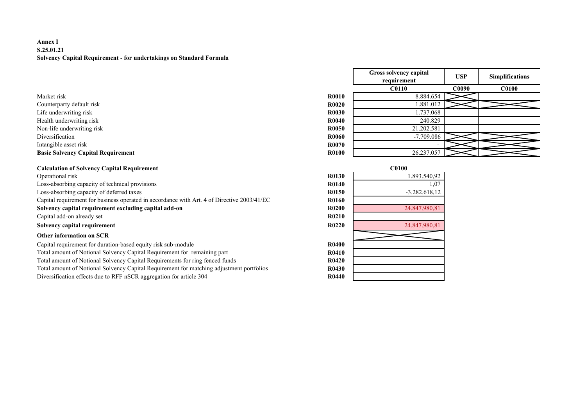## **Annex I S.25.01.21Solvency Capital Requirement - for undertakings on Standard Formula**

- Counterparty default risk
- Life underwriting risk
- Health underwriting risk
- Non-life underwriting risk

## **Basic Solvency Capital Requirement R0100** 26.237.057

## **Calculation of Solvency Capital Requirement**

Operational risk **R0130** 1.893.540,92 Loss-absorbing capacity of technical provisionsLoss-absorbing capacity of deferred taxes**R0150** -3.282.618,12 Capital requirement for business operated in accordance with Art. 4 of Directive 2003/41/EC**Solvency capital requirement excluding capital add-on**Capital add-on already set**t R0210 Solvency capital requirementr R0220 24.847.980,81** 

## **Other information on SCR**

 Capital requirement for duration-based equity risk sub-modulee R0400 Total amount of Notional Solvency Capital Requirement for remaining part **R0410**Total amount of Notional Solvency Capital Requirements for ring fenced funds $R0420$ Total amount of Notional Solvency Capital Requirement for matching adjustment portfoliosDiversification effects due to RFF nSCR aggregation for article 304**R0440**

|                                           |              | Gross solvency capital<br>requirement | <b>USP</b>   | <b>Simplifications</b> |
|-------------------------------------------|--------------|---------------------------------------|--------------|------------------------|
|                                           |              | <b>C0110</b>                          | <b>C0090</b> | <b>C0100</b>           |
| Market risk                               | <b>R0010</b> | 8.884.654                             |              |                        |
| Counterparty default risk                 | <b>R0020</b> | .881.012                              |              |                        |
| Life underwriting risk                    | <b>R0030</b> | .737.068                              |              |                        |
| Health underwriting risk                  | <b>R0040</b> | 240.829                               |              |                        |
| Non-life underwriting risk                | <b>R0050</b> | 21.202.581                            |              |                        |
| Diversification                           | <b>R0060</b> | $-7.709.086$                          |              |                        |
| Intangible asset risk                     | <b>R0070</b> |                                       |              |                        |
| <b>Basic Solvency Capital Requirement</b> | <b>R0100</b> | 26.237.057                            |              |                        |

| ıt                                           |              | C0100           |
|----------------------------------------------|--------------|-----------------|
|                                              | <b>R0130</b> | 1.893.540,92    |
| S.                                           | <b>R0140</b> | 1,07            |
|                                              | <b>R0150</b> | $-3.282.618,12$ |
| cordance with Art. 4 of Directive 2003/41/EC | <b>R0160</b> |                 |
| ital add-on                                  | <b>R0200</b> | 24.847.980,81   |
|                                              | R0210        |                 |
|                                              | R0220        | 24.847.980,81   |
|                                              |              |                 |
| risk sub-module                              | <b>R0400</b> |                 |
| quirement for remaining part                 | <b>R0410</b> |                 |
| quirements for ring fenced funds             | R0420        |                 |
| quirement for matching adjustment portfolios | <b>R0430</b> |                 |
| gation for article 304                       | <b>R0440</b> |                 |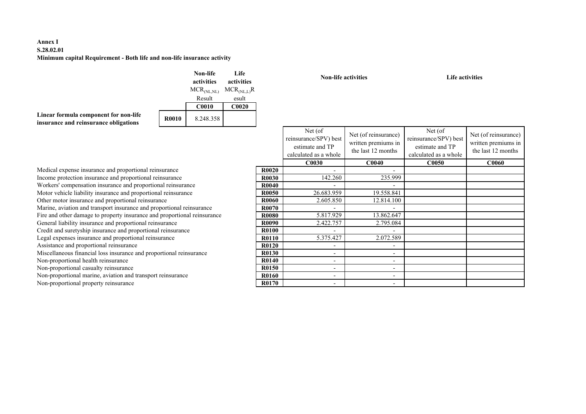## **Annex I S.28.02.01Minimum capital Requirement - Both life and non-life insurance activity**

|                                                                                |              | Non-life<br>activities  | Life<br>activities |
|--------------------------------------------------------------------------------|--------------|-------------------------|--------------------|
|                                                                                |              | MCR <sub>(NL, NL)</sub> | $MCR_{(NLL)}R$     |
|                                                                                |              | Result                  | esult              |
|                                                                                |              | <b>C0010</b>            | <b>C0020</b>       |
| Linear formula component for non-life<br>insurance and reinsurance obligations | <b>R0010</b> | 8.248.358               |                    |

|                     |                                  | activities                          | activities        |              | <b>Non-life activities</b>                                                    |                                                                   | Life activities                                                              |                                                                   |
|---------------------|----------------------------------|-------------------------------------|-------------------|--------------|-------------------------------------------------------------------------------|-------------------------------------------------------------------|------------------------------------------------------------------------------|-------------------------------------------------------------------|
|                     |                                  | $MCR_{(NL, NL)}$                    | $MCR_{(NL,L)}R$   |              |                                                                               |                                                                   |                                                                              |                                                                   |
|                     |                                  | Result                              | esult             |              |                                                                               |                                                                   |                                                                              |                                                                   |
|                     |                                  | <b>C0010</b>                        | C <sub>0020</sub> |              |                                                                               |                                                                   |                                                                              |                                                                   |
| -life<br>ns)        | <b>R0010</b>                     | 8.248.358                           |                   |              |                                                                               |                                                                   |                                                                              |                                                                   |
|                     |                                  |                                     |                   |              | Net (of)<br>reinsurance/SPV) best<br>estimate and TP<br>calculated as a whole | Net (of reinsurance)<br>written premiums in<br>the last 12 months | Net (of<br>reinsurance/SPV) best<br>estimate and TP<br>calculated as a whole | Net (of reinsurance)<br>written premiums in<br>the last 12 months |
|                     |                                  |                                     |                   |              | <b>C0030</b>                                                                  | C0040                                                             | <b>C0050</b>                                                                 | <b>C0060</b>                                                      |
| rtional reinsurance |                                  |                                     |                   | <b>R0020</b> | $\overline{a}$                                                                |                                                                   |                                                                              |                                                                   |
|                     | ortional reinsurance             |                                     |                   | R0030        | 142.260                                                                       | 235.999                                                           |                                                                              |                                                                   |
|                     | proportional reinsurance         |                                     |                   | R0040        |                                                                               |                                                                   |                                                                              |                                                                   |
|                     | proportional reinsurance         |                                     |                   | R0050        | 26.683.959                                                                    | 19.558.841                                                        |                                                                              |                                                                   |
| al reinsurance      |                                  |                                     |                   | R0060        | 2.605.850                                                                     | 12.814.100                                                        |                                                                              |                                                                   |
|                     | nce and proportional reinsurance |                                     |                   | R0070        |                                                                               |                                                                   |                                                                              |                                                                   |
|                     |                                  | urance and proportional reinsurance |                   | R0080        | 5.817.929                                                                     | 13.862.647                                                        |                                                                              |                                                                   |
| rtional reinsurance |                                  |                                     |                   | R0090        | 2.422.757                                                                     | 2.795.084                                                         |                                                                              |                                                                   |
|                     | roportional reinsurance          |                                     |                   | R0100        |                                                                               |                                                                   |                                                                              |                                                                   |
| ional reinsurance   |                                  |                                     |                   | R0110        | 5.375.427                                                                     | 2.072.589                                                         |                                                                              |                                                                   |
| ce                  |                                  |                                     |                   | R0120        | $\overline{a}$                                                                | $\overline{\phantom{a}}$                                          |                                                                              |                                                                   |
|                     | e and proportional reinsurance   |                                     |                   | R0130        | $\overline{\phantom{0}}$                                                      | -                                                                 |                                                                              |                                                                   |
|                     |                                  |                                     |                   | R0140        | $\overline{\phantom{a}}$                                                      | $\overline{\phantom{a}}$                                          |                                                                              |                                                                   |
|                     |                                  |                                     |                   | R0150        | $\overline{\phantom{a}}$                                                      | $\overline{\phantom{0}}$                                          |                                                                              |                                                                   |
|                     | d transport reinsurance          |                                     |                   | <b>R0160</b> | $\overline{\phantom{a}}$                                                      | $\overline{\phantom{a}}$                                          |                                                                              |                                                                   |
| e                   |                                  |                                     |                   | R0170        | $\overline{a}$                                                                | $\overline{\phantom{a}}$                                          |                                                                              |                                                                   |
|                     |                                  |                                     |                   |              |                                                                               |                                                                   |                                                                              |                                                                   |

Medical expense insurance and proportional reinsurance **R0020**Income protection insurance and proportional reinsurance **R0030**Workers' compensation insurance and proportional reinsurancee R0040 Motor vehicle liability insurance and proportional reinsurance e R0050 Other motor insurance and proportional reinsurancee R0060 Marine, aviation and transport insurance and proportional reinsuranceFire and other damage to property insurance and proportional reinsurance General liability insurance and proportional reinsurancee R0090 Credit and suretyship insurance and proportional reinsurancee R0100 Legal expenses insurance and proportional reinsurance e R0110 Assistance and proportional reinsuranceAssistance and proportional reinsurance<br>
Miscellaneous financial loss insurance and proportional reinsurance **B0130** R0130 Non-proportional health reinsurance e R0140 Non-proportional casualty reinsurance e R0150 Non-proportional marine, aviation and transport reinsurance

Non-proportional property reinsurance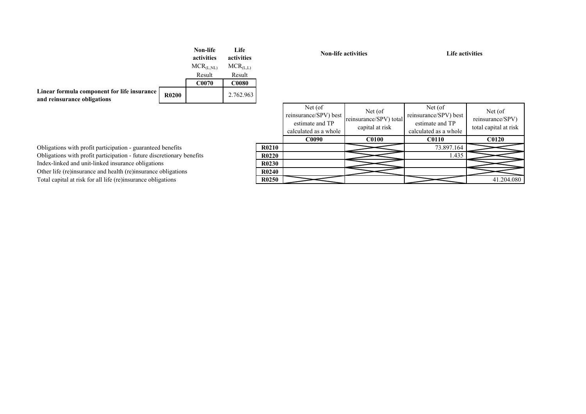|                                                                            |                   | Non-life<br>activities<br>$MCR_{(L,NL)}$ | Life<br>activities<br>$MCR_{(L,L)}$ |
|----------------------------------------------------------------------------|-------------------|------------------------------------------|-------------------------------------|
|                                                                            |                   | Result                                   | Result                              |
|                                                                            |                   | C0070                                    | <b>C0080</b>                        |
| Linear formula component for life insurance<br>and reinsurance obligations | R <sub>0200</sub> |                                          | 2.762.963                           |

**Non-life activities Life activities**

|          |              | Net (of)<br>reinsurance/SPV) best<br>estimate and TP<br>calculated as a whole | Net (of)<br>reinsurance/SPV) total<br>capital at risk | Net (of)<br>reinsurance/SPV) best<br>estimate and TP<br>calculated as a whole | Net (of)<br>reinsurance/SPV)<br>total capital at risk |
|----------|--------------|-------------------------------------------------------------------------------|-------------------------------------------------------|-------------------------------------------------------------------------------|-------------------------------------------------------|
|          |              | <b>C0090</b>                                                                  | <b>C0100</b>                                          | <b>C0110</b>                                                                  | <b>C0120</b>                                          |
|          | R0210        |                                                                               |                                                       | 73.897.164                                                                    |                                                       |
| penefits | <b>R0220</b> |                                                                               |                                                       | 1.435                                                                         |                                                       |
|          | <b>R0230</b> |                                                                               |                                                       |                                                                               |                                                       |
| S        | R0240        |                                                                               |                                                       |                                                                               |                                                       |
|          | <b>R0250</b> |                                                                               |                                                       |                                                                               | 41.204.080                                            |

Obligations with profit participation - guaranteed benefits**R0210** Obligations with profit participation - future discretionary benefitsIndex-linked and unit-linked insurance obligations Other life (re)insurance and health (re)insurance obligationsTotal capital at risk for all life (re)insurance obligations**R0250**